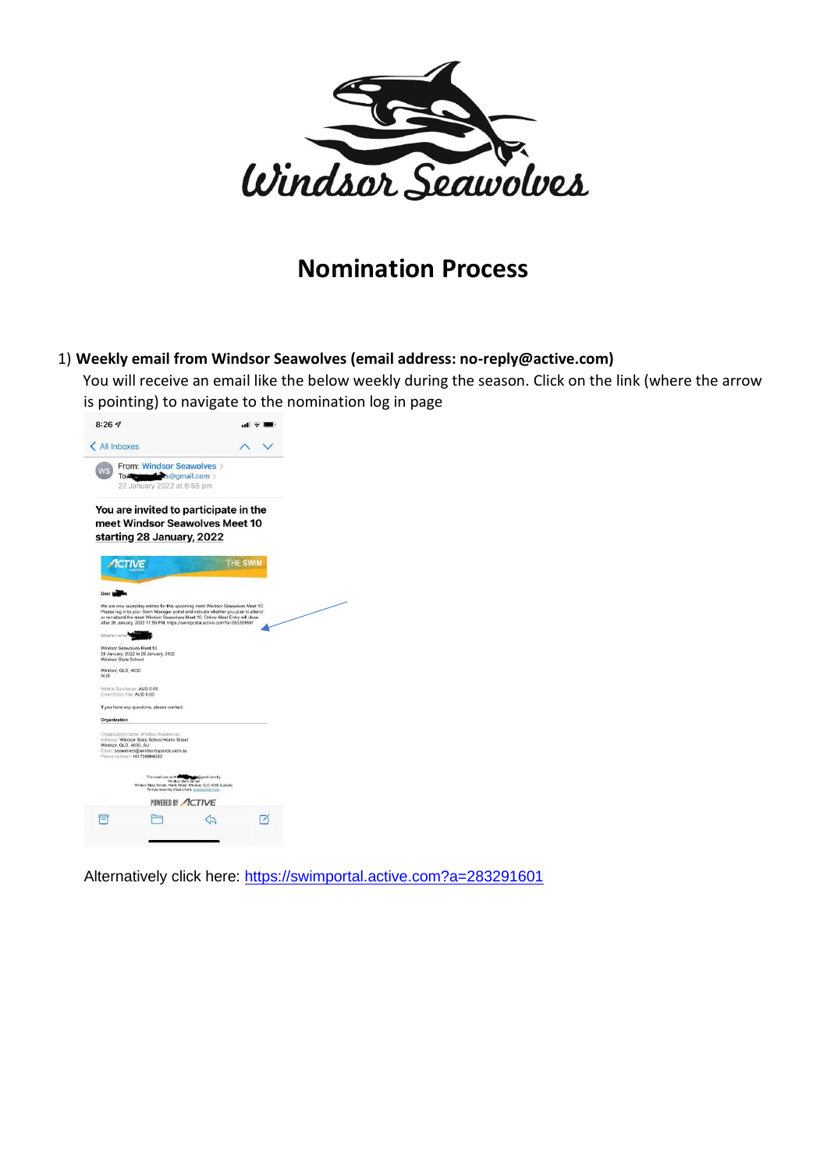

# **Nomination Process**

## 1) **Weekly email from Windsor Seawolves (email address: no-reply@active.com)**

You will receive an email like the below weekly during the season. Click on the link (where the arrow is pointing) to navigate to the nomination log in page



Alternatively click here: [https://swimportal.active.com?a=283291601](https://swimportal.active.com/?a=283291601)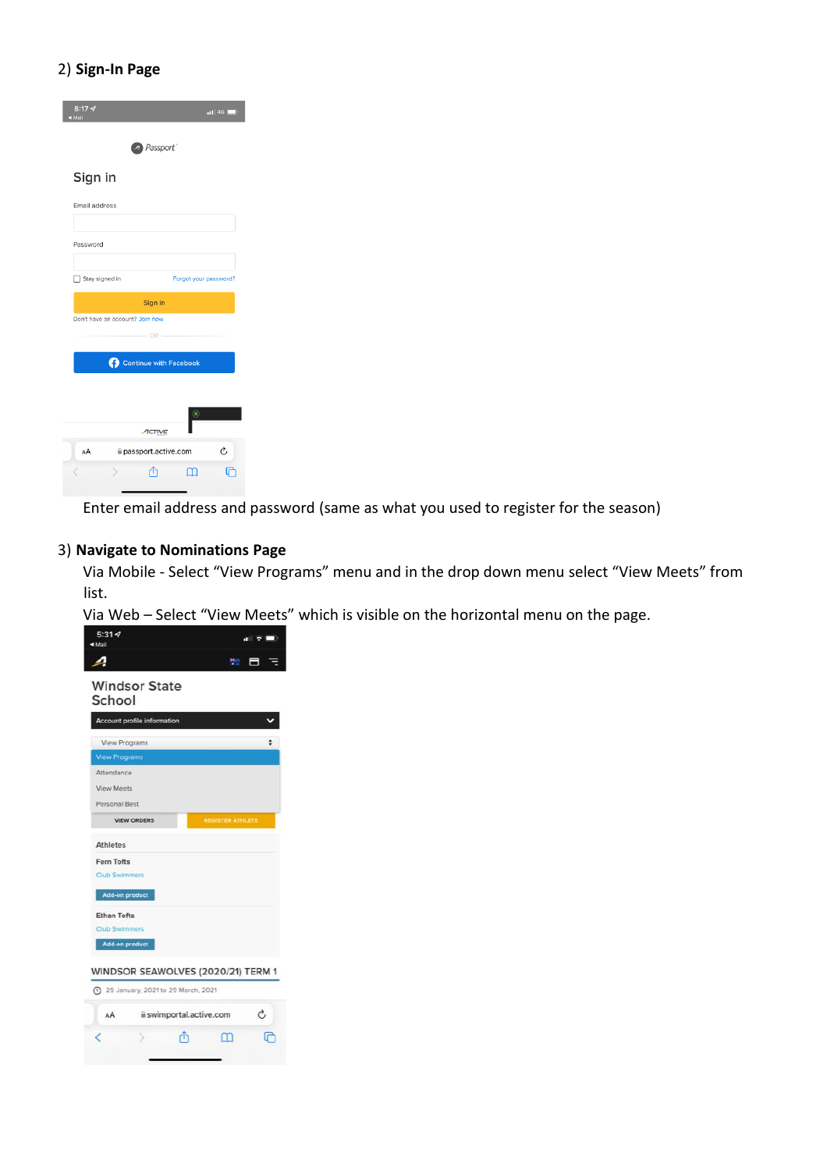### 2) **Sign-In Page**

| 8:177<br>n114G<br>IlisM >                     |
|-----------------------------------------------|
| 4 Passport                                    |
| Sign in                                       |
| Email address                                 |
| Password                                      |
| Stay signed in<br>Forgot your password?       |
| Sign in                                       |
| Don't have an account? Join now<br>$-$ OR $-$ |
| <b>Continue with Facebook</b>                 |
|                                               |
| ⊛<br>ACTIVE                                   |
| Ò<br>AÅ<br>passport.active.com                |
| -17<br>ш                                      |

Enter email address and password (same as what you used to register for the season)

## 3) **Navigate to Nominations Page**

Via Mobile - Select "View Programs" menu and in the drop down menu select "View Meets" from list.

Via Web – Select "View Meets" which is visible on the horizontal menu on the page.

| $5:31 - 7$<br><b>4 Mail</b>                   |    |
|-----------------------------------------------|----|
|                                               |    |
| <b>Windsor State</b><br>School                |    |
| Account profile information                   |    |
| View Programs                                 |    |
| <b>View Programs</b>                          |    |
| Attendance                                    |    |
| <b>View Meets</b>                             |    |
| Personal Best                                 |    |
| <b>REGISTER ATHLETE</b><br><b>VIEW ORDERS</b> |    |
| <b>Athletes</b>                               |    |
| <b>Fern Tofts</b>                             |    |
| Club Swimmers                                 |    |
| <b>Add-on product</b>                         |    |
| <b>Ethan Tofts</b>                            |    |
| <b>Club Swimmers</b>                          |    |
| <b>Add-on product</b>                         |    |
| WINDSOR SEAWOLVES (2020/21) TERM 1            |    |
| 4 29 January, 2021 to 29 March, 2021          |    |
| ii swimportal.active.com<br>AA                | Ċ. |
|                                               |    |
|                                               |    |